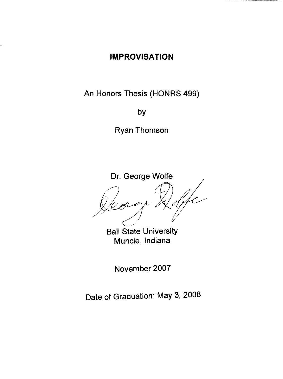# **IMPROVISATION**

An Honors Thesis (HONRS 499)

by

Ryan Thomson

Dr. George Wolfe

Ball State University Muncie, Indiana

November 2007

Date of Graduation: May 3, 2008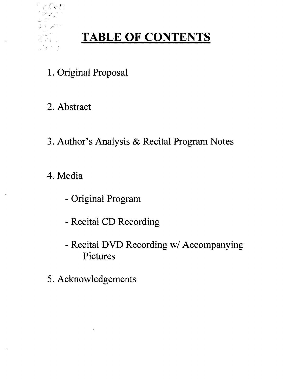

# **TABLE OF CONTENTS**

- 1. Original Proposal
- 2. Abstract
- 3. Author's Analysis & Recital Program Notes

4. Media

- Original Program
- Recital CD Recording
- Recital DVD Recording *wi* Accompanying Pictures
- 5. Acknowledgements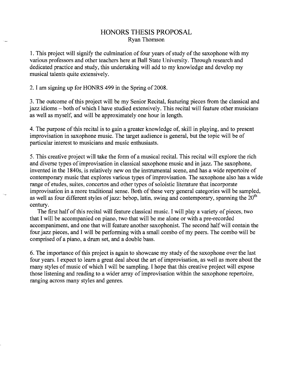# HONORS THESIS PROPOSAL Ryan Thomson

1. This project will signify the culmination of four years of study of the saxophone with my various professors and other teachers here at Ball State University. Through research and dedicated practice and study, this undertaking will add to my knowledge and develop my musical talents quite extensively.

2. I am signing up for HONRS 499 in the Spring of 2008.

3. The outcome of this project will be my Senior Recital, featuring pieces from the classical and jazz idioms – both of which I have studied extensively. This recital will feature other musicians as well as myself, and will be approximately one hour in length.

4. The purpose of this recital is to gain a greater knowledge of, skill in playing, and to present improvisation in saxophone music. The target audience is general, but the topic will be of particular interest to musicians and music enthusiasts.

5. This creative project will take the form of a musical recital. This recital will explore the rich and diverse types of improvisation in classical saxophone music and in jazz. The saxophone, invented in the 1840s, is relatively new on the instrumental scene, and has a wide repertoire of contemporary music that explores various types of improvisation. The saxophone also has a wide range of etudes, suites, concertos and other types of soloistic literature that incorporate improvisation in a more traditional sense. Both of these very general categories will be sampled, as well as four different styles of jazz: bebop, latin, swing and contemporary, spanning the  $20<sup>th</sup>$ century.

The first half of this recital will feature classical music. I will playa variety of pieces, two that I will be accompanied on piano, two that will be me alone or with a pre-recorded accompaniment, and one that will feature another saxophonist. The second half will contain the four jazz pieces, and I will be performing with a small combo of my peers. The combo will be comprised of a piano, a drum set, and a double bass.

6. The importance of this project is again to showcase my study of the saxophone over the last four years. I expect to learn a great deal about the art of improvisation, as well as more about the many styles of music of which I will be sampling. I hope that this creative project will expose those listening and reading to a wider array of improvisation within the saxophone repertoire, ranging across many styles and genres.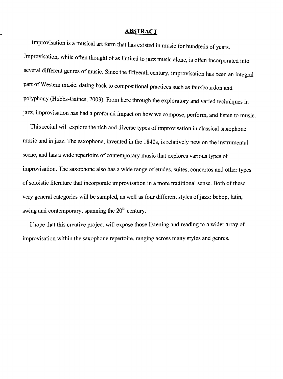# **ABSTRACT**

Improvisation is a musical art form that has existed in music for hundreds of years. Improvisation, while often thought of as limited to jazz music alone, is often incorporated into several different genres of music. Since the fifteenth century, improvisation has been an integral part of Western music, dating back to compositional practices such as fauxbourdon and polyphony (Hubbs-Gaines, 2003). From here through the exploratory and varied techniques in jazz, improvisation has had a profound impact on how we compose, perform, and listen to music.

This recital will explore the rich and diverse types of improvisation in classical saxophone music and in jazz. The saxophone, invented in the 1840s, is relatively new on the instrumental scene, and has a wide repertoire of contemporary music that explores various types of improvisation. The saxophone also has a wide range of etudes, suites, concertos and other types of soloistic literature that incorporate improvisation in a more traditional sense. Both of these very general categories will be sampled, as well as four different styles of jazz: bebop, latin, swing and contemporary, spanning the  $20<sup>th</sup>$  century.

I hope that this creative project will expose those listening and reading to a wider array of improvisation within the saxophone repertoire, ranging across many styles and genres.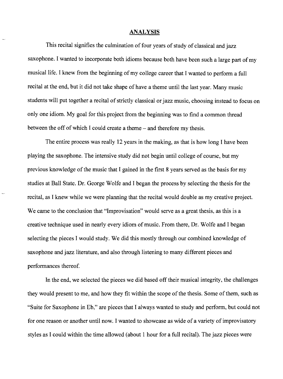#### **ANALYSIS**

This recital signifies the culmination of four years of study of classical and jazz saxophone. I wanted to incorporate both idioms because both have been such a large part of my musical life. I knew from the beginning of my college career that I wanted to perform a full recital at the end, but it did not take shape of have a theme until the last year. Many music students will put together a recital of strictly classical or jazz music, choosing instead to focus on only one idiom. My goal for this project from the beginning was to find a common thread between the off of which I could create a theme - and therefore my thesis.

The entire process was really **12** years in the making, as that is how long I have been playing the saxophone. The intensive study did not begin until college of course, but my previous knowledge of the music that I gained in the first 8 years served as the basis for my studies at Ball State. Dr. George Wolfe and I began the process by selecting the thesis for the recital, as I knew while we were planning that the recital would double as my creative project. We came to the conclusion that "Improvisation" would serve as a great thesis, as this is a creative technique used in nearly every idiom of music. From there, Dr. Wolfe and I began selecting the pieces I would study. We did this mostly through our combined knowledge of saxophone and jazz literature, and also through listening to many different pieces and performances thereof.

In the end, we selected the pieces we did based off their musical integrity, the challenges they would present to me, and how they fit within the scope of the thesis. Some of them, such as "Suite for Saxophone in Eb," are pieces that I always wanted to study and perform, but could not for one reason or another until now. I wanted to showcase as wide of a variety of improvisatory styles as I could within the time allowed (about 1 hour for a full recital). The jazz pieces were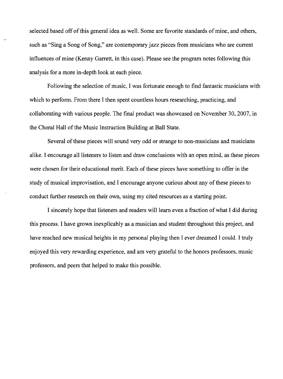selected based off of this general idea as well. Some are favorite standards of mine, and others, such as "Sing a Song of Song," are contemporary jazz pieces from musicians who are current influences of mine (Kenny Garrett, in this case). Please see the program notes following this analysis for a more in-depth look at each piece.

Following the selection of music, I was fortunate enough to find fantastic musicians with which to perform. From there I then spent countless hours researching, practicing, and collaborating with various people. The final product was showcased on November 30, 2007, in the Choral Hall of the Music Instruction Building at Ball State.

Several of these pieces will sound very odd or strange to non-musicians and musicians alike. I encourage all listeners to listen and draw conclusions with an open mind, as these pieces were chosen for their educational merit. Each of these pieces have something to offer in the study of musical improvisation, and I encourage anyone curious about any of these pieces to conduct further research on their own, using my cited resources as a starting point.

I sincerely hope that listeners and readers will learn even a fraction of what I did during this process. I have grown inexplicably as a musician and student throughout this project, and have reached new musical heights in my personal playing then I ever dreamed I could. I truly enjoyed this very rewarding experience, and am very grateful to the honors professors, music professors, and peers that helped to make this possible.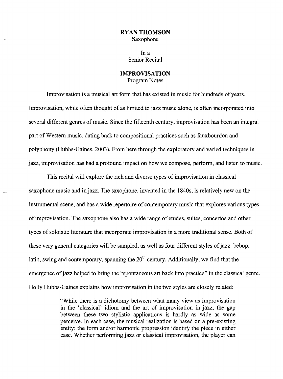# RYAN THOMSON Saxophone

In a Senior Recital

# **IMPROVISATION**  Program Notes

Improvisation is a musical art form that has existed in music for hundreds of years. Improvisation, while often thought of as limited to jazz music alone, is often incorporated into several different genres of music. Since the fifteenth century, improvisation has been an integral part of Western music, dating back to compositional practices such as fauxbourdon and polyphony (Hubbs-Gaines, 2003). From here through the exploratory and varied techniques in jazz, improvisation has had a profound impact on how we compose, perform, and listen to music.

This recital will explore the rich and diverse types of improvisation in classical saxophone music and in jazz. The saxophone, invented in the 1 840s, is relatively new on the instrumental scene, and has a wide repertoire of contemporary music that explores various types of improvisation. The saxophone also has a wide range of etudes, suites, concertos and other types of soloistic literature that incorporate improvisation in a more traditional sense. Both of these very general categories will be sampled, as well as four different styles of jazz: bebop, latin, swing and contemporary, spanning the  $20<sup>th</sup>$  century. Additionally, we find that the emergence of jazz helped to bring the "spontaneous art back into practice" in the classical genre. Holly Hubbs-Gaines explains how improvisation in the two styles are closely related:

> "While there is a dichotomy between what many view as improvisation in the 'classical' idiom and the art of improvisation in jazz, the gap between these two stylistic applications is hardly as wide as some perceive. In each case, the musical realization is based on a pre-existing entity: the form and/or harmonic progression identify the piece in either case. Whether performing jazz or classical improvisation, the player can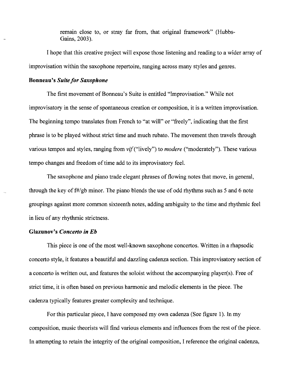remain close to, or stray far from, that original framework" (Hubbs-Gains, 2003).

I hope that this creative project will expose those listening and reading to a wider array of improvisation within the saxophone repertoire, ranging across many styles and genres.

### **Bonneau's Suite for Saxophone**

The first movement of Bonneau's Suite is entitled "Improvisation." While not improvisatory in the sense of spontaneous creation or composition, it is a written improvisation. The beginning tempo translates from French to "at will" or "freely", indicating that the first phrase is to be played without strict time and much rubato. The movement then travels through various tempos and styles, ranging from vif("lively") to *modere* ("moderately"). These various tempo changes and freedom of time add to its improvisatory feel.

The saxophone and piano trade elegant phrases of flowing notes that move, in general, through the key of  $f#/gb$  minor. The piano blends the use of odd rhythms such as 5 and 6 note groupings against more common sixteenth notes, adding ambiguity to the time and rhythmic feel in lieu of any rhythmic strictness.

#### Glazunov's *Concerto in Eb*

This piece is one of the most well-known saxophone concertos. Written in a rhapsodic concerto style, it features a beautiful and dazzling cadenza section. This improvisatory section of a concerto is written out, and features the soloist without the accompanying player(s). Free of strict time, it is often based on previous harmonic and melodic elements in the piece. The cadenza typically features greater complexity and technique.

For this particular piece, I have composed my own cadenza (See figure 1). In my composition, music theorists will find various elements and influences from the rest of the piece. In attempting to retain the integrity of the original composition, I reference the original cadenza,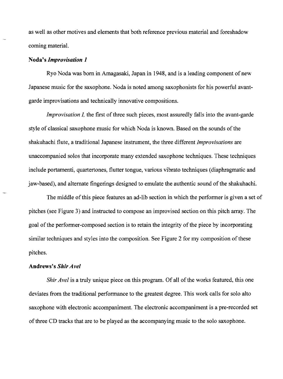as well as other motives and elements that both reference previous material and foreshadow coming material.

# Noda's *Improvisation I*

Ryo Noda was born in Amagasaki, Japan in 1948, and is a leading component of new Japanese music for the saxophone. Noda is noted among saxophonists for his powerful avantgarde improvisations and technically innovative compositions.

*Improvisation I*, the first of three such pieces, most assuredly falls into the avant-garde style of classical saxophone music for which Noda is known. Based on the sounds of the shakuhachi flute, a traditional Japanese instrument, the three different *Improvisations* are unaccompanied solos that incorporate many extended saxophone techniques. These techniques include portamenti, quartertones, flutter tongue, various vibrato techniques (diaphragmatic and jaw-based), and alternate fingerings designed to emulate the authentic sound of the shakuhachi.

The middle of this piece features an ad-lib section in which the performer is given a set of pitches (see Figure 3) and instructed to compose an improvised section on this pitch array. The goal of the performer-composed section is to retain the integrity of the piece by incorporating similar techniques and styles into the composition. See Figure 2 for my composition of these pitches.

# Andrews's *Shir A vel*

*Shir Avel* is a truly unique piece on this program. Of all of the works featured, this one deviates from the traditional performance to the greatest degree. This work calls for solo alto saxophone with electronic accompaniment. The electronic accompaniment is a pre-recorded set of three CD tracks that are to be played as the accompanying music to the solo saxophone.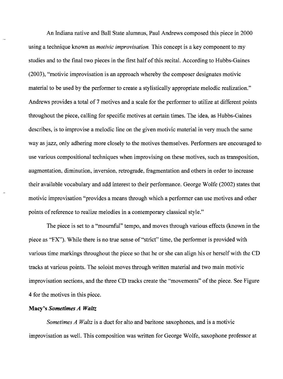An Indiana native and Ball State alumnus, Paul Andrews composed this piece in 2000 using a technique known as *motivic improvisation.* This concept is a key component to my studies and to the final two pieces in the first half of this recital. According to Hubbs-Gaines (2003), "motivic improvisation is an approach whereby the composer designates motivic material to be used by the perfonner to create a stylistically appropriate melodic realization." Andrews provides a total of 7 motives and a scale for the perfonner to utilize at different points throughout the piece, calling for specific motives at certain times. The idea, as Hubbs-Gaines describes, is to improvise a melodic line on the given motivic material in very much the same way as jazz, only adhering more closely to the motives themselves. Perfonners are encouraged to use various compositional techniques when improvising on these motives, such as transposition, augmentation, diminution, inversion, retrograde, fragmentation and others in order to increase their available vocabulary and add interest to their perfonnance. George Wolfe (2002) states that motivic improvisation "provides a means through which a perfonner can use motives and other points of reference to realize melodies in a contemporary classical style."

The piece is set to a "mournful" tempo, and moves through various effects (known in the piece as "FX"). While there is no true sense of "strict" time, the perfonner is provided with various time markings throughout the piece so that he or she can align his or herself with the CD tracks at various points. The soloist moves through written material and two main motivic improvisation sections, and the three CD tracks create the "movements" of the piece. See Figure 4 for the motives in this piece.

### Macy's *Sometimes A Waltz*

*Sometimes A Waltz* is a duet for alto and baritone saxophones, and is a motivic improvisation as well. This composition was written for George Wolfe, saxophone professor at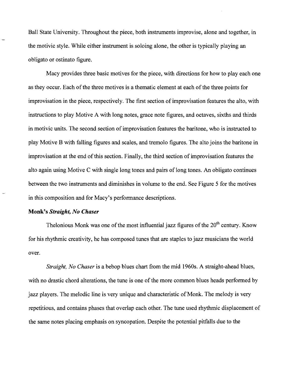Ball State University. Throughout the piece, both instruments improvise, alone and together, in the motivic style. While either instrument is soloing alone, the other is typically playing an obligato or ostinato figure.

Macy provides three basic motives for the piece, with directions for how to play each one as they occur. Each of the three motives is a thematic element at each of the three points for improvisation in the piece, respectively. The first section of improvisation features the alto, with instructions to play Motive A with long notes, grace note figures, and octaves, sixths and thirds in motivic units. The second section of improvisation features the baritone, who is instructed to play Motive B with falling figures and scales, and tremolo figures. The alto joins the baritone in improvisation at the end of this section. Finally, the third section of improvisation features the alto again using Motive C with single long tones and pairs of long tones. An obligato continues between the two instruments and diminishes in volume to the end. See Figure 5 for the motives in this composition and for Macy's performance descriptions.

#### Monk's *Straight, No Chaser*

Thelonious Monk was one of the most influential jazz figures of the  $20<sup>th</sup>$  century. Know for his rhythmic creativity, he has composed tunes that are staples to jazz musicians the world over.

*Straight, No Chaser* is a bebop blues chart from the mid 1960s. A straight-ahead blues, with no drastic chord alterations, the tune is one of the more common blues heads performed by jazz players. The melodic line is very unique and characteristic of Monk. The melody is very repetitious, and contains phases that overlap each other. The tune used rhythmic displacement of the same notes placing emphasis on syncopation. Despite the potential pitfalls due to the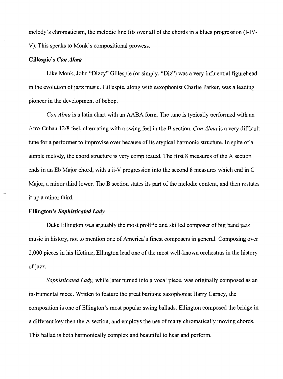melody's chromaticism, the melodic line fits over all of the chords in a blues progression (I-IV-V). This speaks to Monk's compositional prowess.

# **Gillespie's** *Con Alma*

Like Monk, John "Dizzy" Gillespie (or simply, "Diz") was a very influential figurehead in the evolution of jazz music. Gillespie, along with saxophonist Charlie Parker, was a leading pioneer in the development of bebop.

*Con Alma* is a latin chart with an AABA form. The tune is typically performed with an Afro-Cuban *12/8* feel, alternating with a swing feel in the B section. *Con Alma* is a very difficult tune for a performer to improvise over because of its atypical harmonic structure. In spite of a simple melody, the chord structure is very complicated. The first 8 measures of the A section ends in an Eb Major chord, with a ii-V progression into the second 8 measures which end in C Major, a minor third lower. The B section states its part of the melodic content, and then restates it up a minor third.

# **Ellington's** *Sophisticated Lady*

Duke Ellington was arguably the most prolific and skilled composer of big band jazz music in history, not to mention one of America's finest composers in general. Composing over 2,000 pieces in his lifetime, Ellington lead one of the most well-known orchestras in the history of jazz.

*Sophisticated Lady,* while later turned into a vocal piece, was originally composed as an instrumental piece. Written to feature the great baritone saxophonist Harry Carney, the composition is one of Ellington's most popular swing ballads. Ellington composed the bridge in a different key then the A section, and employs the use of many chromatically moving chords. This ballad is both harmonically complex and beautiful to hear and perform.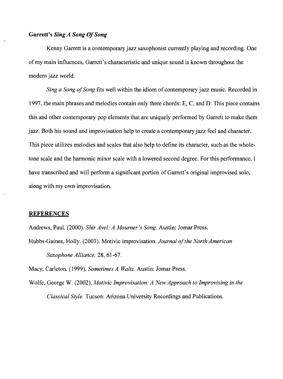Kenny Garrett is a contemporary jazz saxophonist currently playing and recording. One of my main influences, Garrett's characteristic and unique sound is known throughout the modem jazz world.

*Sing a Song of Song* fits well within the idiom of contemporary jazz music. Recorded in 1997, the main phrases and melodies contain only three chords: E, C, and D. This piece contains this and other contemporary pop elements that are uniquely performed by Garrett to make them jazz. Both his sound and improvisation help to create a contemporary jazz feel and character. This piece utilizes melodies and scales that also help to define its character, such as the wholetone scale and the harmonic minor scale with a lowered second degree. For this performance, I have transcribed and will perform a significant portion of Garrett's original improvised solo, along with my own improvisation.

#### **REFERENCES**

Andrews, Paul. (2000). *Shir Avel: A Mourner's Song.* Austin: Jomar Press.

Hubbs-Gaines, Holly. (2003). Motivic improvisation. *Journal of the North American Saxophone Alliance,* 28,61-67.

Macy, Carleton. (1999). *Sometimes A Waltz.* Austin: Jomar Press.

Wolfe, George W. (2002). *Motivic Improvisation: A New Approach to Improvising in the Classical Style.* Tucson: Arizona University Recordings and Publications.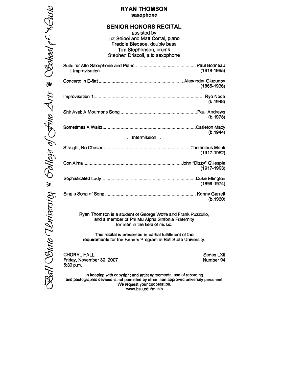#### **RYAN THOMSON** saxophone

# **SENIOR HONORS RECITAL**

assisted by Liz Seidel and Matt Corral, piano Freddie Bledsoe, double bass Tim Stephenson, drums Stephen Driscoll, alto saxophone

| $(1918 - 1995)$<br>I. Improvisation |  |
|-------------------------------------|--|
| $(1865 - 1936)$                     |  |
| (b.1948)                            |  |
| (b.1978)                            |  |
| (b.1944)                            |  |
| $\ldots$ Intermission $\ldots$      |  |
| $(1917-1982)$                       |  |
| $(1917 - 1993)$                     |  |
| $(1899-1974)$                       |  |
| (b.1960)                            |  |

Ryan Thomson is a student of George Wolfe and Frank Puzzullo, and a member of Phi Mu Alpha Sinfonia Fraternity for men in the field of music.

This recital is presented in partial fulfillment of the requirements for the Honors Program at Ball State University.

CHORAL HALL Friday, November 30, 2007 5:30p.m.

Series LXII Number 94

In keeping with copyright and artist agreements, use of recording and photographic devices Is not permitted by other than approved university personnel. We request your cooperation. www.bsu.edu/music